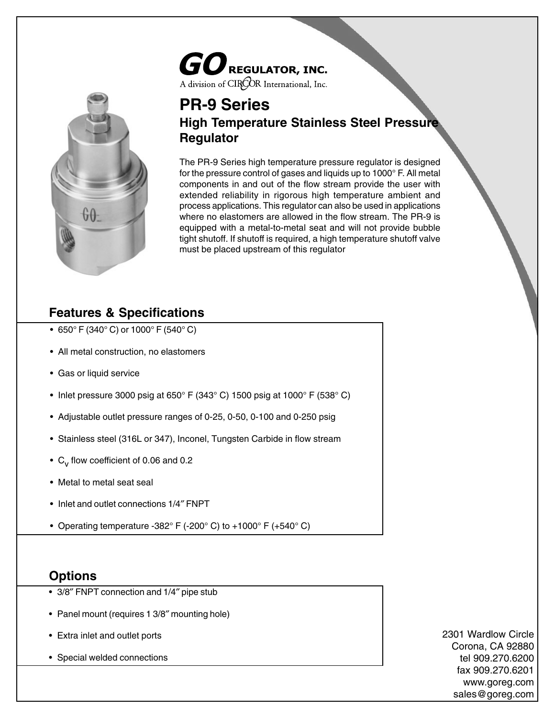# $\boldsymbol{GO}$  regulator, Inc. A division of CIROR International, Inc.



### **PR-9 Series High Temperature Stainless Steel Pressure Regulator**

The PR-9 Series high temperature pressure regulator is designed for the pressure control of gases and liquids up to 1000° F. All metal components in and out of the flow stream provide the user with extended reliability in rigorous high temperature ambient and process applications. This regulator can also be used in applications where no elastomers are allowed in the flow stream. The PR-9 is equipped with a metal-to-metal seat and will not provide bubble tight shutoff. If shutoff is required, a high temperature shutoff valve must be placed upstream of this regulator

## **Features & Specifications**

- 650° F (340° C) or 1000° F (540° C)
- All metal construction, no elastomers
- Gas or liquid service
- Inlet pressure 3000 psig at 650 $\degree$  F (343 $\degree$  C) 1500 psig at 1000 $\degree$  F (538 $\degree$  C)
- Adjustable outlet pressure ranges of 0-25, 0-50, 0-100 and 0-250 psig
- Stainless steel (316L or 347), Inconel, Tungsten Carbide in flow stream
- $C_v$  flow coefficient of 0.06 and 0.2
- Metal to metal seat seal
- Inlet and outlet connections 1/4″ FNPT
- Operating temperature -382° F (-200° C) to +1000° F (+540° C)

#### **Options**

- 3/8″ FNPT connection and 1/4″ pipe stub
- Panel mount (requires 1 3/8″ mounting hole)
- Extra inlet and outlet ports
- Special welded connections

2301 Wardlow Circle Corona, CA 92880 tel 909.270.6200 fax 909.270.6201 www.goreg.com sales@goreg.com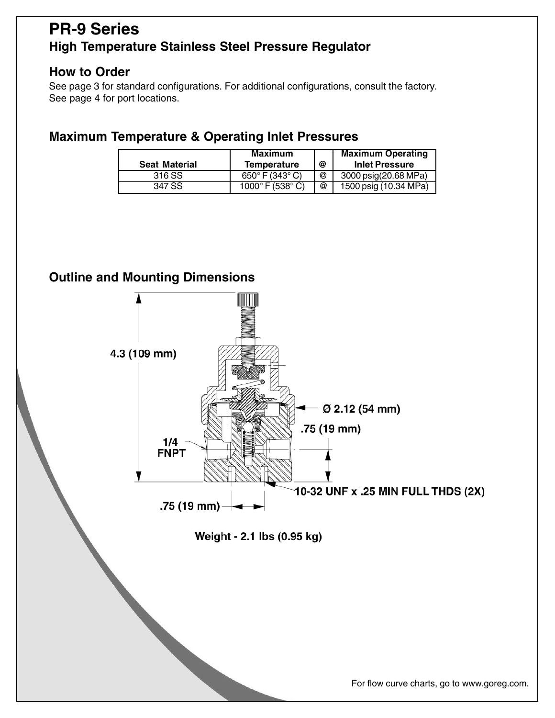## **PR-9 Series High Temperature Stainless Steel Pressure Regulator**

#### **How to Order**

See page 3 for standard configurations. For additional configurations, consult the factory. See page 4 for port locations.

#### **Maximum Temperature & Operating Inlet Pressures**

|                      | <b>Maximum</b>                     |   | <b>Maximum Operating</b>        |
|----------------------|------------------------------------|---|---------------------------------|
| <b>Seat Material</b> | <b>Temperature</b>                 | @ | <b>Inlet Pressure</b>           |
| 316 SS               | 650 $\degree$ F (343 $\degree$ C)  | @ | 3000 psig(20.68 MPa)            |
| 347 SS               | 1000 $\degree$ F (538 $\degree$ C) | @ | 1500 psig $(10.34 \text{ MPa})$ |

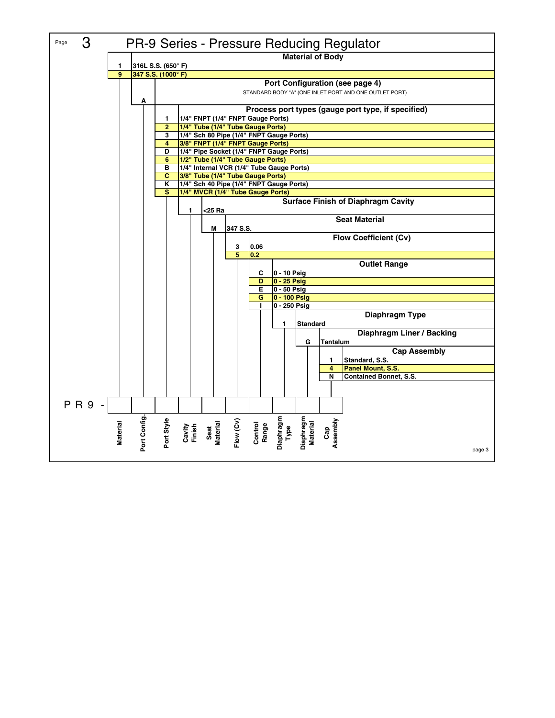